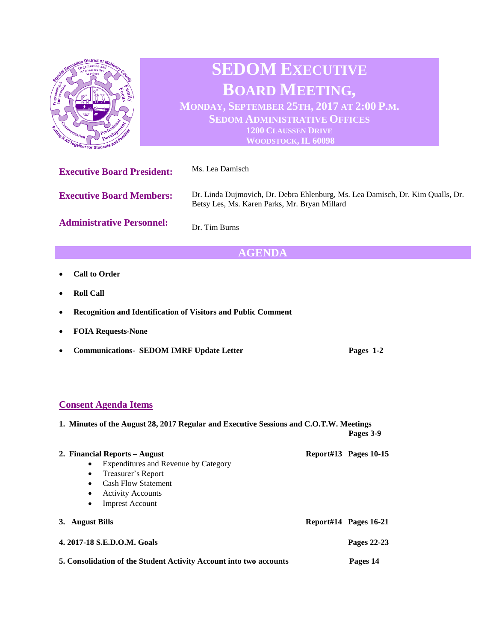

## **Consent Agenda Items**

| 1. Minutes of the August 28, 2017 Regular and Executive Sessions and C.O.T.W. Meetings |           |
|----------------------------------------------------------------------------------------|-----------|
|                                                                                        | Pages 3-9 |

| 2. Financial Reports – August                                      |  | Report#13 Pages $10-15$ |  |
|--------------------------------------------------------------------|--|-------------------------|--|
| Expenditures and Revenue by Category<br>$\bullet$                  |  |                         |  |
| Treasurer's Report<br>$\bullet$                                    |  |                         |  |
| <b>Cash Flow Statement</b><br>$\bullet$                            |  |                         |  |
| <b>Activity Accounts</b><br>$\bullet$                              |  |                         |  |
| <b>Imprest Account</b><br>$\bullet$                                |  |                         |  |
| <b>August Bills</b><br>3.                                          |  | Report#14 Pages 16-21   |  |
| 4. 2017-18 S.E.D.O.M. Goals                                        |  |                         |  |
| 5. Consolidation of the Student Activity Account into two accounts |  |                         |  |